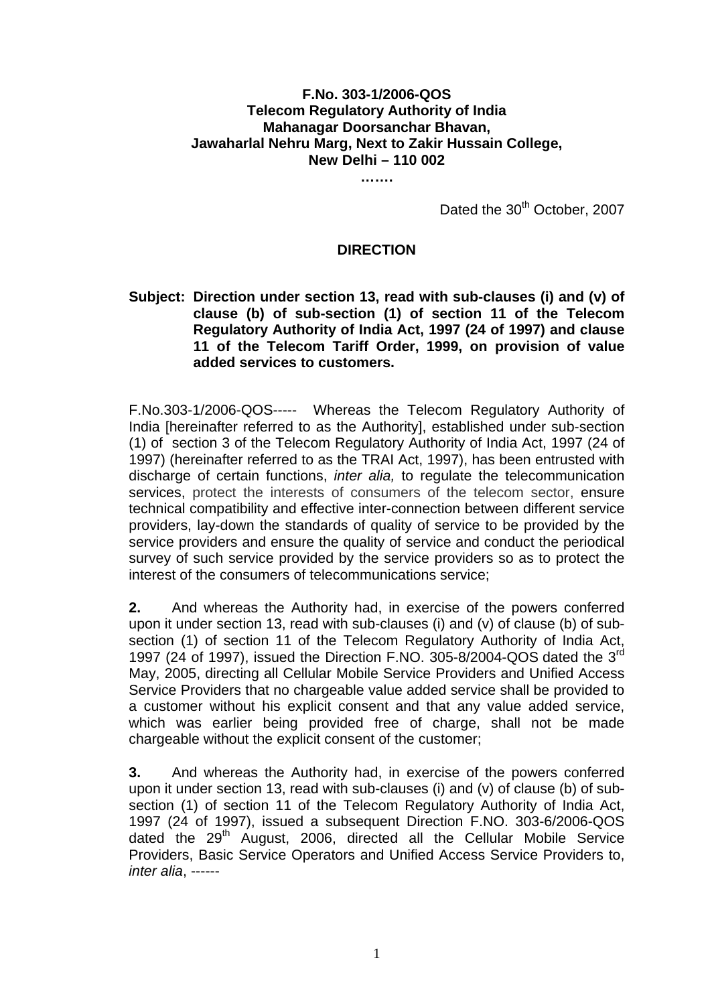## **F.No. 303-1/2006-QOS Telecom Regulatory Authority of India Mahanagar Doorsanchar Bhavan, Jawaharlal Nehru Marg, Next to Zakir Hussain College, New Delhi – 110 002**

**…….** 

Dated the 30<sup>th</sup> October, 2007

## **DIRECTION**

## **Subject: Direction under section 13, read with sub-clauses (i) and (v) of clause (b) of sub-section (1) of section 11 of the Telecom Regulatory Authority of India Act, 1997 (24 of 1997) and clause 11 of the Telecom Tariff Order, 1999, on provision of value added services to customers.**

F.No.303-1/2006-QOS----- Whereas the Telecom Regulatory Authority of India [hereinafter referred to as the Authority], established under sub-section (1) of section 3 of the Telecom Regulatory Authority of India Act, 1997 (24 of 1997) (hereinafter referred to as the TRAI Act, 1997), has been entrusted with discharge of certain functions, *inter alia,* to regulate the telecommunication services, protect the interests of consumers of the telecom sector, ensure technical compatibility and effective inter-connection between different service providers, lay-down the standards of quality of service to be provided by the service providers and ensure the quality of service and conduct the periodical survey of such service provided by the service providers so as to protect the interest of the consumers of telecommunications service;

**2.** And whereas the Authority had, in exercise of the powers conferred upon it under section 13, read with sub-clauses (i) and (v) of clause (b) of subsection (1) of section 11 of the Telecom Regulatory Authority of India Act, 1997 (24 of 1997), issued the Direction F.NO. 305-8/2004-QOS dated the 3<sup>rd</sup> May, 2005, directing all Cellular Mobile Service Providers and Unified Access Service Providers that no chargeable value added service shall be provided to a customer without his explicit consent and that any value added service, which was earlier being provided free of charge, shall not be made chargeable without the explicit consent of the customer;

**3.** And whereas the Authority had, in exercise of the powers conferred upon it under section 13, read with sub-clauses (i) and (v) of clause (b) of subsection (1) of section 11 of the Telecom Regulatory Authority of India Act, 1997 (24 of 1997), issued a subsequent Direction F.NO. 303-6/2006-QOS dated the 29<sup>th</sup> August, 2006, directed all the Cellular Mobile Service Providers, Basic Service Operators and Unified Access Service Providers to, *inter alia*, ------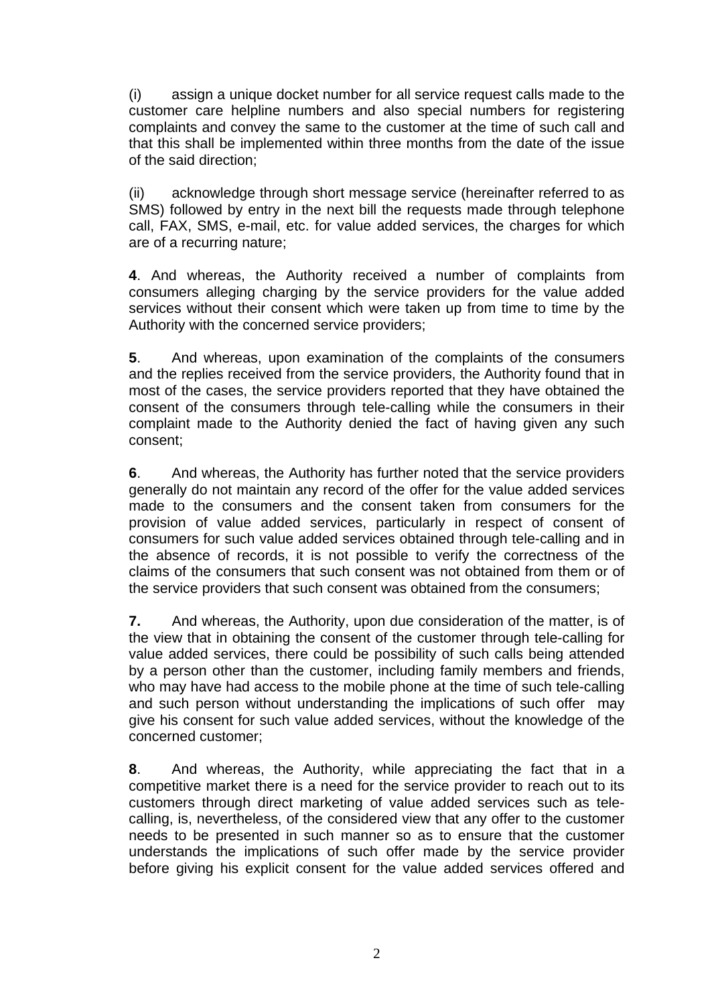(i) assign a unique docket number for all service request calls made to the customer care helpline numbers and also special numbers for registering complaints and convey the same to the customer at the time of such call and that this shall be implemented within three months from the date of the issue of the said direction;

(ii) acknowledge through short message service (hereinafter referred to as SMS) followed by entry in the next bill the requests made through telephone call, FAX, SMS, e-mail, etc. for value added services, the charges for which are of a recurring nature;

**4**. And whereas, the Authority received a number of complaints from consumers alleging charging by the service providers for the value added services without their consent which were taken up from time to time by the Authority with the concerned service providers;

**5**. And whereas, upon examination of the complaints of the consumers and the replies received from the service providers, the Authority found that in most of the cases, the service providers reported that they have obtained the consent of the consumers through tele-calling while the consumers in their complaint made to the Authority denied the fact of having given any such consent;

**6**. And whereas, the Authority has further noted that the service providers generally do not maintain any record of the offer for the value added services made to the consumers and the consent taken from consumers for the provision of value added services, particularly in respect of consent of consumers for such value added services obtained through tele-calling and in the absence of records, it is not possible to verify the correctness of the claims of the consumers that such consent was not obtained from them or of the service providers that such consent was obtained from the consumers;

**7.** And whereas, the Authority, upon due consideration of the matter, is of the view that in obtaining the consent of the customer through tele-calling for value added services, there could be possibility of such calls being attended by a person other than the customer, including family members and friends, who may have had access to the mobile phone at the time of such tele-calling and such person without understanding the implications of such offer may give his consent for such value added services, without the knowledge of the concerned customer;

**8**. And whereas, the Authority, while appreciating the fact that in a competitive market there is a need for the service provider to reach out to its customers through direct marketing of value added services such as telecalling, is, nevertheless, of the considered view that any offer to the customer needs to be presented in such manner so as to ensure that the customer understands the implications of such offer made by the service provider before giving his explicit consent for the value added services offered and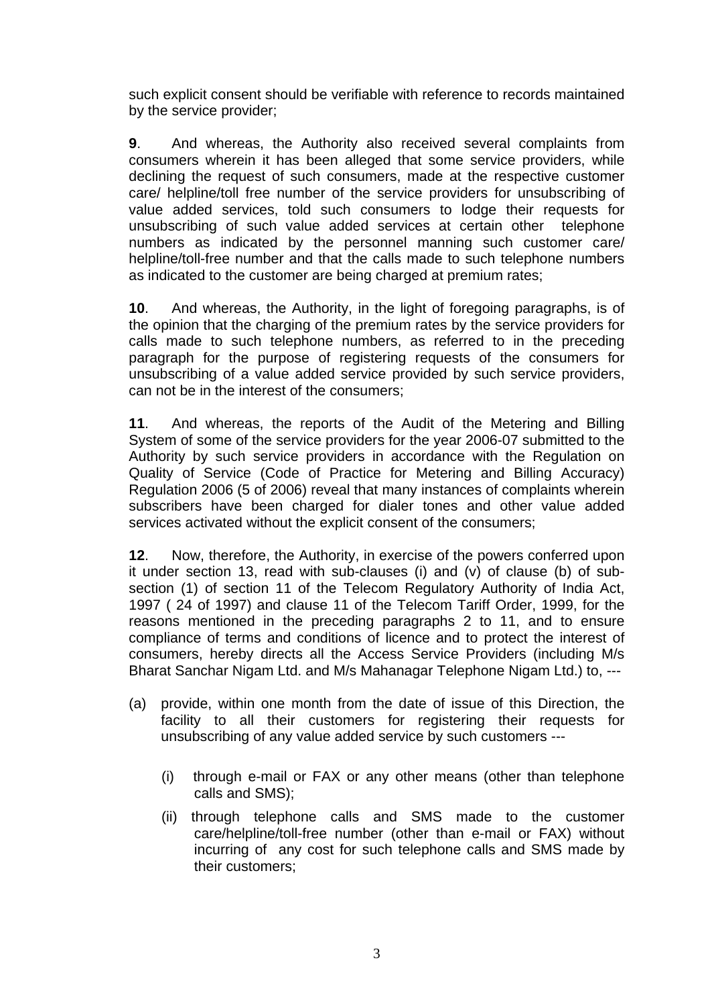such explicit consent should be verifiable with reference to records maintained by the service provider;

**9**. And whereas, the Authority also received several complaints from consumers wherein it has been alleged that some service providers, while declining the request of such consumers, made at the respective customer care/ helpline/toll free number of the service providers for unsubscribing of value added services, told such consumers to lodge their requests for unsubscribing of such value added services at certain other telephone numbers as indicated by the personnel manning such customer care/ helpline/toll-free number and that the calls made to such telephone numbers as indicated to the customer are being charged at premium rates;

**10**. And whereas, the Authority, in the light of foregoing paragraphs, is of the opinion that the charging of the premium rates by the service providers for calls made to such telephone numbers, as referred to in the preceding paragraph for the purpose of registering requests of the consumers for unsubscribing of a value added service provided by such service providers, can not be in the interest of the consumers;

**11**. And whereas, the reports of the Audit of the Metering and Billing System of some of the service providers for the year 2006-07 submitted to the Authority by such service providers in accordance with the Regulation on Quality of Service (Code of Practice for Metering and Billing Accuracy) Regulation 2006 (5 of 2006) reveal that many instances of complaints wherein subscribers have been charged for dialer tones and other value added services activated without the explicit consent of the consumers;

**12**. Now, therefore, the Authority, in exercise of the powers conferred upon it under section 13, read with sub-clauses (i) and (v) of clause (b) of subsection (1) of section 11 of the Telecom Regulatory Authority of India Act, 1997 ( 24 of 1997) and clause 11 of the Telecom Tariff Order, 1999, for the reasons mentioned in the preceding paragraphs 2 to 11, and to ensure compliance of terms and conditions of licence and to protect the interest of consumers, hereby directs all the Access Service Providers (including M/s Bharat Sanchar Nigam Ltd. and M/s Mahanagar Telephone Nigam Ltd.) to, ---

- (a) provide, within one month from the date of issue of this Direction, the facility to all their customers for registering their requests for unsubscribing of any value added service by such customers ---
	- (i) through e-mail or FAX or any other means (other than telephone calls and SMS);
	- (ii) through telephone calls and SMS made to the customer care/helpline/toll-free number (other than e-mail or FAX) without incurring of any cost for such telephone calls and SMS made by their customers;